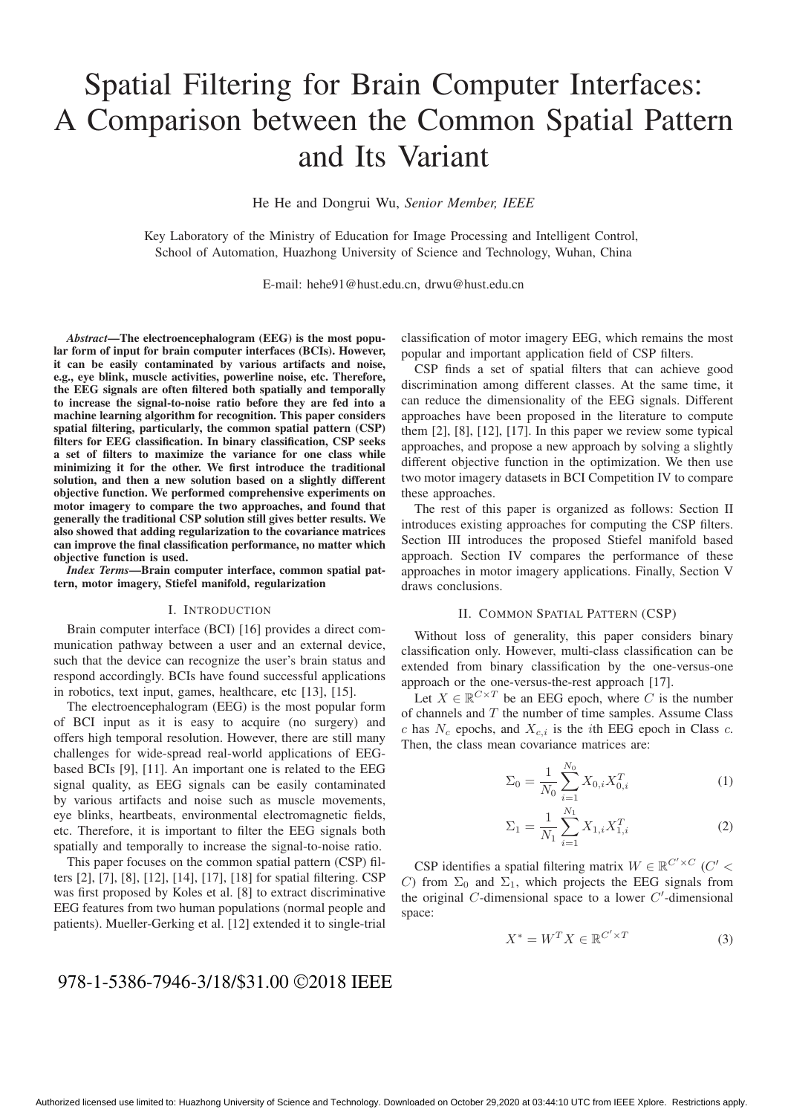# Spatial Filtering for Brain Computer Interfaces: A Comparison between the Common Spatial Pattern and Its Variant

He He and Dongrui Wu, *Senior Member, IEEE*

Key Laboratory of the Ministry of Education for Image Processing and Intelligent Control, School of Automation, Huazhong University of Science and Technology, Wuhan, China

E-mail: hehe91@hust.edu.cn, drwu@hust.edu.cn

*Abstract*—The electroencephalogram (EEG) is the most popular form of input for brain computer interfaces (BCIs). However, it can be easily contaminated by various artifacts and noise, e.g., eye blink, muscle activities, powerline noise, etc. Therefore, the EEG signals are often filtered both spatially and temporally to increase the signal-to-noise ratio before they are fed into a machine learning algorithm for recognition. This paper considers spatial filtering, particularly, the common spatial pattern (CSP) filters for EEG classification. In binary classification, CSP seeks a set of filters to maximize the variance for one class while minimizing it for the other. We first introduce the traditional solution, and then a new solution based on a slightly different objective function. We performed comprehensive experiments on motor imagery to compare the two approaches, and found that generally the traditional CSP solution still gives better results. We also showed that adding regularization to the covariance matrices can improve the final classification performance, no matter which objective function is used.

*Index Terms*—Brain computer interface, common spatial pattern, motor imagery, Stiefel manifold, regularization

#### I. INTRODUCTION

Brain computer interface (BCI) [16] provides a direct communication pathway between a user and an external device, such that the device can recognize the user's brain status and respond accordingly. BCIs have found successful applications in robotics, text input, games, healthcare, etc [13], [15].

The electroencephalogram (EEG) is the most popular form of BCI input as it is easy to acquire (no surgery) and offers high temporal resolution. However, there are still many challenges for wide-spread real-world applications of EEGbased BCIs [9], [11]. An important one is related to the EEG signal quality, as EEG signals can be easily contaminated by various artifacts and noise such as muscle movements, eye blinks, heartbeats, environmental electromagnetic fields, etc. Therefore, it is important to filter the EEG signals both spatially and temporally to increase the signal-to-noise ratio.

This paper focuses on the common spatial pattern (CSP) filters [2], [7], [8], [12], [14], [17], [18] for spatial filtering. CSP was first proposed by Koles et al. [8] to extract discriminative EEG features from two human populations (normal people and patients). Mueller-Gerking et al. [12] extended it to single-trial

classification of motor imagery EEG, which remains the most popular and important application field of CSP filters.

CSP finds a set of spatial filters that can achieve good discrimination among different classes. At the same time, it can reduce the dimensionality of the EEG signals. Different approaches have been proposed in the literature to compute them [2], [8], [12], [17]. In this paper we review some typical approaches, and propose a new approach by solving a slightly different objective function in the optimization. We then use two motor imagery datasets in BCI Competition IV to compare these approaches.

The rest of this paper is organized as follows: Section II introduces existing approaches for computing the CSP filters. Section III introduces the proposed Stiefel manifold based approach. Section IV compares the performance of these approaches in motor imagery applications. Finally, Section V draws conclusions.

# II. COMMON SPATIAL PATTERN (CSP)

Without loss of generality, this paper considers binary classification only. However, multi-class classification can be extended from binary classification by the one-versus-one approach or the one-versus-the-rest approach [17].

Let  $X \in \mathbb{R}^{C \times T}$  be an EEG epoch, where C is the number of channels and  $T$  the number of time samples. Assume Class c has  $N_c$  epochs, and  $X_{c,i}$  is the *i*th EEG epoch in Class c. Then, the class mean covariance matrices are:

$$
\Sigma_0 = \frac{1}{N_0} \sum_{i=1}^{N_0} X_{0,i} X_{0,i}^T
$$
 (1)

$$
\Sigma_1 = \frac{1}{N_1} \sum_{i=1}^{N_1} X_{1,i} X_{1,i}^T
$$
 (2)

CSP identifies a spatial filtering matrix  $W \in \mathbb{R}^{C' \times C}$  (C' < C) from  $\Sigma_0$  and  $\Sigma_1$ , which projects the EEG signals from the original  $C$ -dimensional space to a lower  $C'$ -dimensional space:

$$
X^* = W^T X \in \mathbb{R}^{C' \times T}
$$
 (3)

# 978-1-5386-7946-3/18/\$31.00 ©2018 IEEE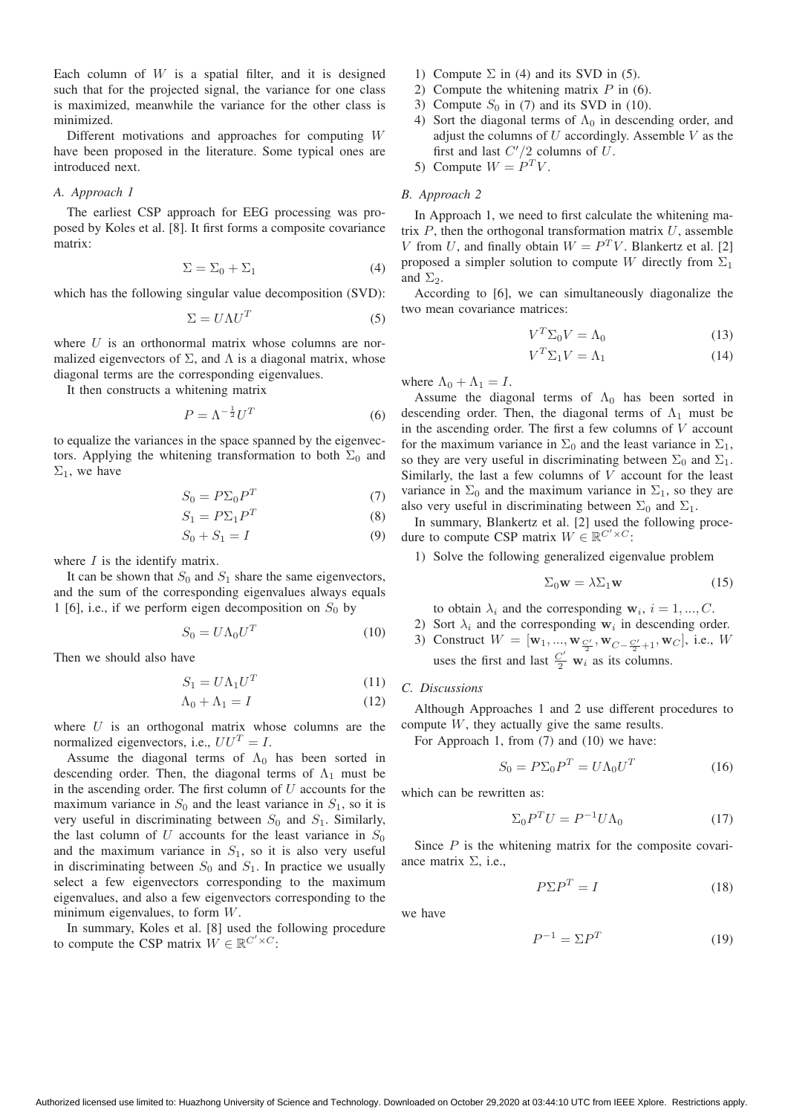Each column of  $W$  is a spatial filter, and it is designed such that for the projected signal, the variance for one class is maximized, meanwhile the variance for the other class is minimized.

Different motivations and approaches for computing W have been proposed in the literature. Some typical ones are introduced next.

#### *A. Approach 1*

The earliest CSP approach for EEG processing was proposed by Koles et al. [8]. It first forms a composite covariance matrix:

$$
\Sigma = \Sigma_0 + \Sigma_1 \tag{4}
$$

which has the following singular value decomposition (SVD):

$$
\Sigma = U\Lambda U^T \tag{5}
$$

where  $U$  is an orthonormal matrix whose columns are normalized eigenvectors of  $\Sigma$ , and  $\Lambda$  is a diagonal matrix, whose diagonal terms are the corresponding eigenvalues.

It then constructs a whitening matrix

$$
P = \Lambda^{-\frac{1}{2}} U^T \tag{6}
$$

to equalize the variances in the space spanned by the eigenvectors. Applying the whitening transformation to both  $\Sigma_0$  and  $\Sigma_1$ , we have

$$
S_0 = P\Sigma_0 P^T \tag{7}
$$

$$
S_1 = P\Sigma_1 P^T \tag{8}
$$

$$
S_0 + S_1 = I \tag{9}
$$

where  $I$  is the identify matrix.

It can be shown that  $S_0$  and  $S_1$  share the same eigenvectors, and the sum of the corresponding eigenvalues always equals 1 [6], i.e., if we perform eigen decomposition on  $S_0$  by

$$
S_0 = U \Lambda_0 U^T \tag{10}
$$

Then we should also have

$$
S_1 = U\Lambda_1 U^T \tag{11}
$$

$$
\Lambda_0 + \Lambda_1 = I \tag{12}
$$

where  $U$  is an orthogonal matrix whose columns are the normalized eigenvectors, i.e.,  $UU^T = I$ .

Assume the diagonal terms of  $\Lambda_0$  has been sorted in descending order. Then, the diagonal terms of  $\Lambda_1$  must be in the ascending order. The first column of  $U$  accounts for the maximum variance in  $S_0$  and the least variance in  $S_1$ , so it is very useful in discriminating between  $S_0$  and  $S_1$ . Similarly, the last column of U accounts for the least variance in  $S_0$ and the maximum variance in  $S_1$ , so it is also very useful in discriminating between  $S_0$  and  $S_1$ . In practice we usually select a few eigenvectors corresponding to the maximum eigenvalues, and also a few eigenvectors corresponding to the minimum eigenvalues, to form W.

In summary, Koles et al. [8] used the following procedure to compute the CSP matrix  $W \in \mathbb{R}^{C' \times C}$ :

- 1) Compute  $\Sigma$  in (4) and its SVD in (5).
- 2) Compute the whitening matrix  $P$  in (6).
- 3) Compute  $S_0$  in (7) and its SVD in (10).
- 4) Sort the diagonal terms of  $\Lambda_0$  in descending order, and adjust the columns of  $U$  accordingly. Assemble  $V$  as the first and last  $C'/2$  columns of U.<br>Compute  $W - P<sup>T</sup> V$
- 5) Compute  $W = P^T V$ .

# *B. Approach 2*

In Approach 1, we need to first calculate the whitening matrix  $P$ , then the orthogonal transformation matrix  $U$ , assemble V from U, and finally obtain  $W = P<sup>T</sup>V$ . Blankertz et al. [2] proposed a simpler solution to compute W directly from  $\Sigma_1$ and  $\Sigma_2$ .

According to [6], we can simultaneously diagonalize the two mean covariance matrices:

$$
V^T \Sigma_0 V = \Lambda_0 \tag{13}
$$

$$
V^T \Sigma_1 V = \Lambda_1 \tag{14}
$$

where  $\Lambda_0 + \Lambda_1 = I$ .

Assume the diagonal terms of  $\Lambda_0$  has been sorted in descending order. Then, the diagonal terms of  $\Lambda_1$  must be in the ascending order. The first a few columns of  $V$  account for the maximum variance in  $\Sigma_0$  and the least variance in  $\Sigma_1$ , so they are very useful in discriminating between  $\Sigma_0$  and  $\Sigma_1$ . Similarly, the last a few columns of  $V$  account for the least variance in  $\Sigma_0$  and the maximum variance in  $\Sigma_1$ , so they are also very useful in discriminating between  $\Sigma_0$  and  $\Sigma_1$ .

In summary, Blankertz et al. [2] used the following procedure to compute CSP matrix  $W \in \mathbb{R}^{C' \times C}$ :

1) Solve the following generalized eigenvalue problem

$$
\Sigma_0 \mathbf{w} = \lambda \Sigma_1 \mathbf{w} \tag{15}
$$

to obtain  $\lambda_i$  and the corresponding  $\mathbf{w}_i$ ,  $i = 1, ..., C$ .

2) Sort  $\lambda_i$  and the corresponding  $w_i$  in descending order. 3) Construct  $W = [\mathbf{w}_1, ..., \mathbf{w}_{\frac{C'}{2}}]$  $\frac{C'}{2}$ <sup>, W</sup>C− $\frac{C'}{2}$  $\frac{C'}{2}+1$ , **w**<sub>C</sub>, i.e., *W* uses the first and last  $\frac{C'}{2}$  **w**<sub>i</sub> as its columns.

#### *C. Discussions*

Although Approaches 1 and 2 use different procedures to compute  $W$ , they actually give the same results.

For Approach 1, from (7) and (10) we have:

$$
S_0 = P\Sigma_0 P^T = U\Lambda_0 U^T \tag{16}
$$

which can be rewritten as:

$$
\Sigma_0 P^T U = P^{-1} U \Lambda_0 \tag{17}
$$

Since  $P$  is the whitening matrix for the composite covariance matrix  $\Sigma$ , i.e.,

$$
P\Sigma P^T = I \tag{18}
$$

we have

$$
P^{-1} = \Sigma P^T \tag{19}
$$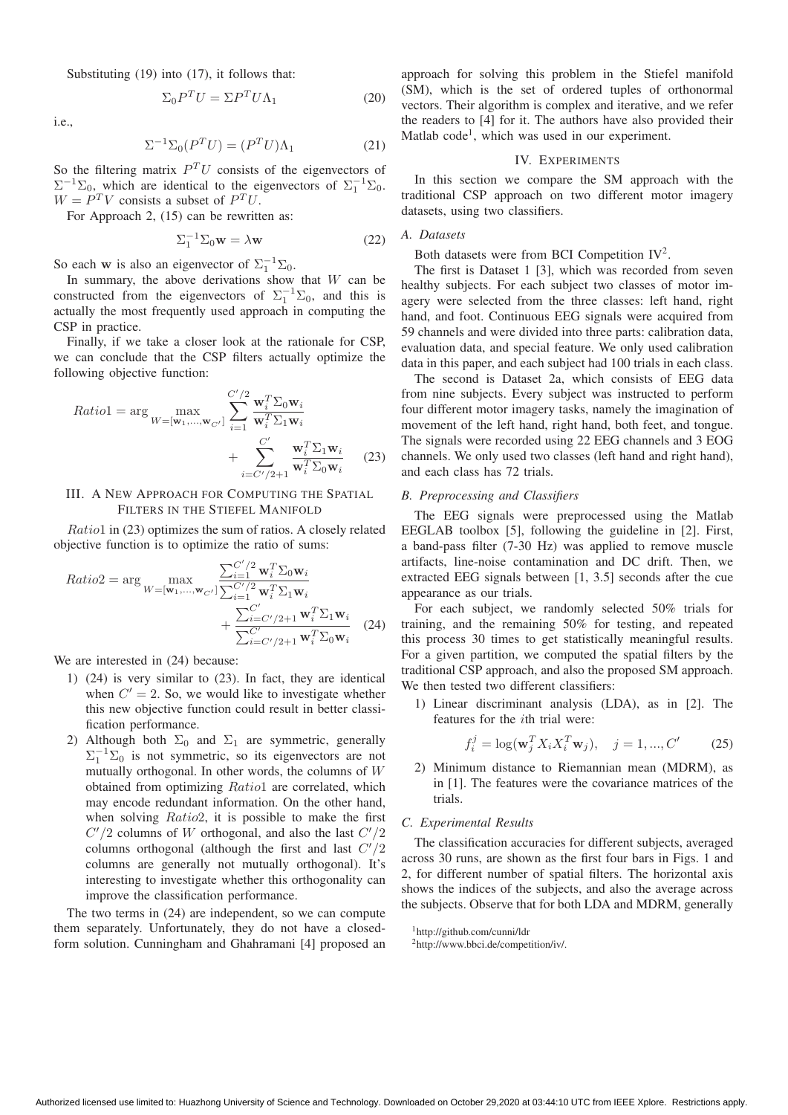Substituting (19) into (17), it follows that:

$$
\Sigma_0 P^T U = \Sigma P^T U \Lambda_1 \tag{20}
$$

i.e.,

$$
\Sigma^{-1} \Sigma_0(P^T U) = (P^T U) \Lambda_1 \tag{21}
$$

So the filtering matrix  $P<sup>T</sup>U$  consists of the eigenvectors of  $\Sigma^{-1}\Sigma_0$ , which are identical to the eigenvectors of  $\Sigma_1^{-1}\Sigma_0$ .<br> $W - P^T V$  consists a subset of  $P^T U$ .  $W = P^T V$  consists a subset of  $P^T U$ .

For Approach 2, (15) can be rewritten as:

$$
\Sigma_1^{-1} \Sigma_0 \mathbf{w} = \lambda \mathbf{w} \tag{22}
$$

So each **w** is also an eigenvector of  $\Sigma_1^{-1}\Sigma_0$ .<br>In summary, the above derivations show

In summary, the above derivations show that  $W$  can be constructed from the eigenvectors of  $\Sigma_1^{-1}\Sigma_0$ , and this is<br>actually the most frequently used approach in computing the actually the most frequently used approach in computing the CSP in practice.

Finally, if we take a closer look at the rationale for CSP, we can conclude that the CSP filters actually optimize the following objective function:

$$
Ratio1 = \arg \max_{W = [\mathbf{w}_1, ..., \mathbf{w}_{C'}]} \sum_{i=1}^{C'/2} \frac{\mathbf{w}_i^T \Sigma_0 \mathbf{w}_i}{\mathbf{w}_i^T \Sigma_1 \mathbf{w}_i} + \sum_{i=C'/2+1}^{C'} \frac{\mathbf{w}_i^T \Sigma_1 \mathbf{w}_i}{\mathbf{w}_i^T \Sigma_0 \mathbf{w}_i}
$$
(23)

# III. A NEW APPROACH FOR COMPUTING THE SPATIAL FILTERS IN THE STIEFEL MANIFOLD

Ratio1 in (23) optimizes the sum of ratios. A closely related objective function is to optimize the ratio of sums:

$$
Ratio2 = \arg \max_{W = [\mathbf{w}_1, ..., \mathbf{w}_{C'}]} \frac{\sum_{i=1}^{C'/2} \mathbf{w}_i^T \Sigma_0 \mathbf{w}_i}{\sum_{i=1}^{C'/2} \mathbf{w}_i^T \Sigma_1 \mathbf{w}_i} + \frac{\sum_{i=C'/2+1}^{C'} \mathbf{w}_i^T \Sigma_1 \mathbf{w}_i}{\sum_{i=C'/2+1}^{C'} \mathbf{w}_i^T \Sigma_0 \mathbf{w}_i}
$$
(24)

We are interested in (24) because:

- 1) (24) is very similar to (23). In fact, they are identical when  $C' = 2$ . So, we would like to investigate whether<br>this new objective function could result in hetter classithis new objective function could result in better classification performance.
- 2) Although both  $\Sigma_0$  and  $\Sigma_1$  are symmetric, generally  $\Sigma_1^{-1}\Sigma_0$  is not symmetric, so its eigenvectors are not<br>mutually orthogonal. In other words, the columns of W mutually orthogonal. In other words, the columns of W obtained from optimizing Ratio1 are correlated, which may encode redundant information. On the other hand, when solving Ratio2, it is possible to make the first  $C'/2$  columns of W orthogonal, and also the last  $C'/2$ <br>columns orthogonal (although the first and last  $C'/2$ columns orthogonal (although the first and last  $C'/2$ <br>columns are generally not mutually orthogonal). It's columns are generally not mutually orthogonal). It's interesting to investigate whether this orthogonality can improve the classification performance.

The two terms in (24) are independent, so we can compute them separately. Unfortunately, they do not have a closedform solution. Cunningham and Ghahramani [4] proposed an approach for solving this problem in the Stiefel manifold (SM), which is the set of ordered tuples of orthonormal vectors. Their algorithm is complex and iterative, and we refer the readers to [4] for it. The authors have also provided their Matlab code<sup>1</sup>, which was used in our experiment.

#### IV. EXPERIMENTS

In this section we compare the SM approach with the traditional CSP approach on two different motor imagery datasets, using two classifiers.

# *A. Datasets*

Both datasets were from BCI Competition IV2.

The first is Dataset 1 [3], which was recorded from seven healthy subjects. For each subject two classes of motor imagery were selected from the three classes: left hand, right hand, and foot. Continuous EEG signals were acquired from 59 channels and were divided into three parts: calibration data, evaluation data, and special feature. We only used calibration data in this paper, and each subject had 100 trials in each class.

The second is Dataset 2a, which consists of EEG data from nine subjects. Every subject was instructed to perform four different motor imagery tasks, namely the imagination of movement of the left hand, right hand, both feet, and tongue. The signals were recorded using 22 EEG channels and 3 EOG channels. We only used two classes (left hand and right hand), and each class has 72 trials.

#### *B. Preprocessing and Classifiers*

The EEG signals were preprocessed using the Matlab EEGLAB toolbox [5], following the guideline in [2]. First, a band-pass filter (7-30 Hz) was applied to remove muscle artifacts, line-noise contamination and DC drift. Then, we extracted EEG signals between [1, 3.5] seconds after the cue appearance as our trials.

For each subject, we randomly selected 50% trials for training, and the remaining 50% for testing, and repeated this process 30 times to get statistically meaningful results. For a given partition, we computed the spatial filters by the traditional CSP approach, and also the proposed SM approach. We then tested two different classifiers:

1) Linear discriminant analysis (LDA), as in [2]. The features for the ith trial were:

$$
f_i^j = \log(\mathbf{w}_j^T X_i X_i^T \mathbf{w}_j), \quad j = 1, ..., C'
$$
 (25)

2) Minimum distance to Riemannian mean (MDRM), as in [1]. The features were the covariance matrices of the trials.

# *C. Experimental Results*

The classification accuracies for different subjects, averaged across 30 runs, are shown as the first four bars in Figs. 1 and 2, for different number of spatial filters. The horizontal axis shows the indices of the subjects, and also the average across the subjects. Observe that for both LDA and MDRM, generally

<sup>1</sup>http://github.com/cunni/ldr

<sup>2</sup>http://www.bbci.de/competition/iv/.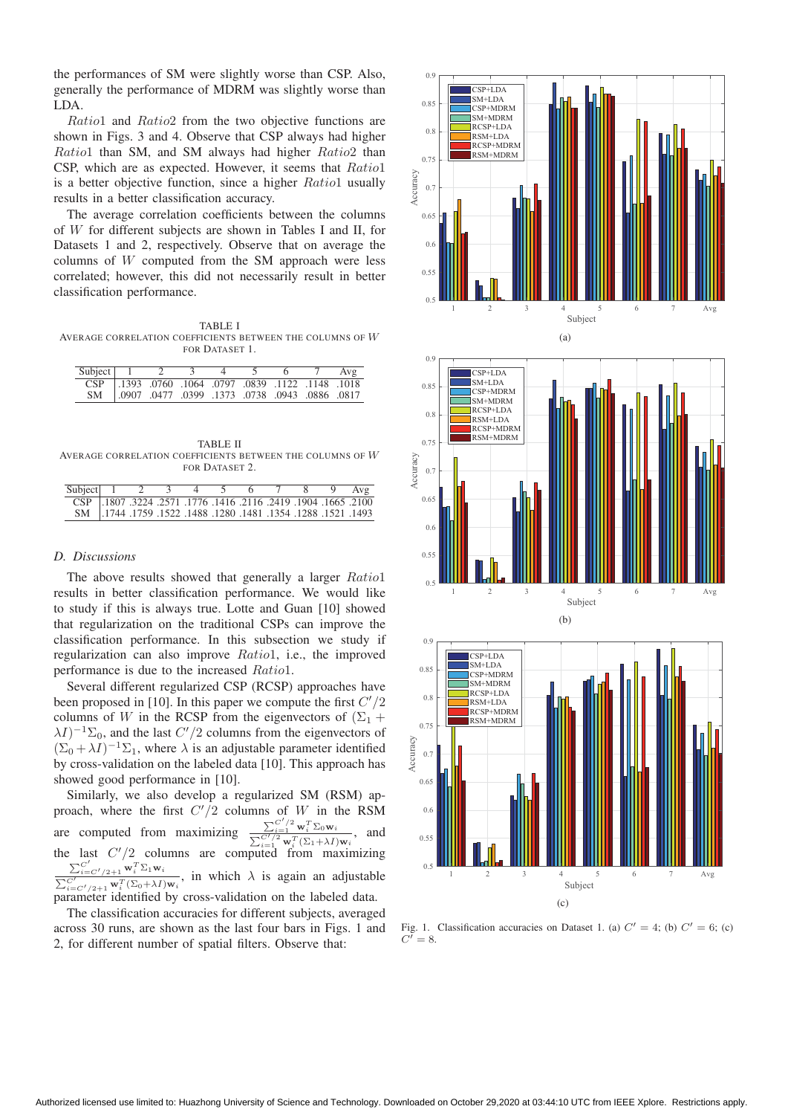the performances of SM were slightly worse than CSP. Also, generally the performance of MDRM was slightly worse than LDA.

Ratio1 and Ratio2 from the two objective functions are shown in Figs. 3 and 4. Observe that CSP always had higher Ratio1 than SM, and SM always had higher Ratio2 than CSP, which are as expected. However, it seems that Ratio1 is a better objective function, since a higher Ratio1 usually results in a better classification accuracy.

The average correlation coefficients between the columns of W for different subjects are shown in Tables I and II, for Datasets 1 and 2, respectively. Observe that on average the columns of W computed from the SM approach were less correlated; however, this did not necessarily result in better classification performance.

TABLE I AVERAGE CORRELATION COEFFICIENTS BETWEEN THE COLUMNS OF  $\boldsymbol{W}$ FOR DATASET 1.

| Subject 1 2 |                                                            |  |  | Avg |
|-------------|------------------------------------------------------------|--|--|-----|
|             | 1018. 1148. 1122. 1148. 0797. 1064. 10797. 1122. 1148. CSP |  |  |     |
|             | SM   .0907 .0477 .0399 .1373 .0738 .0943 .0886 .0817       |  |  |     |

TABLE II AVERAGE CORRELATION COEFFICIENTS BETWEEN THE COLUMNS OF  $\boldsymbol{W}$ FOR DATASET 2.

| Subject 1 2 3 4 5 6 7 8 9 Avg                                        |  |  |  |  |  |
|----------------------------------------------------------------------|--|--|--|--|--|
| CSP .1807 .3224 .2571 .1776 .1416 .2116 .2419 .1904 .1665 .2100      |  |  |  |  |  |
| 1493. 1521. 1288. 1284. 1354. 1481. 1280. 1488. 1522. 1759. 1744. SM |  |  |  |  |  |

# *D. Discussions*

The above results showed that generally a larger  $Ratio1$ results in better classification performance. We would like to study if this is always true. Lotte and Guan [10] showed that regularization on the traditional CSPs can improve the classification performance. In this subsection we study if regularization can also improve Ratio1, i.e., the improved performance is due to the increased Ratio1.

Several different regularized CSP (RCSP) approaches have been proposed in [10]. In this paper we compute the first  $C'/2$ <br>columns of W in the RCSP from the eigenvectors of  $(\Sigma_2 +$ columns of W in the RCSP from the eigenvectors of  $(\Sigma_1 +$  $(\Sigma_0 + \lambda I)^{-1} \Sigma_0$ , and the last  $C'/2$  columns from the eigenvectors of  $(\Sigma_0 + \lambda I)^{-1} \Sigma_1$ , where  $\lambda$  is an adjustable parameter identified  $(\Sigma_0 + \lambda I)^{-1} \Sigma_1$ , where  $\lambda$  is an adjustable parameter identified by cross-validation on the labeled data [10]. This approach has showed good performance in [10].

Similarly, we also develop a regularized SM (RSM) approach, where the first  $C'$ /2 columns of W in the RSM are computed from maximizing  $\frac{\sum_{i=1}^{C'/2} \mathbf{w}_i^T \Sigma_0 \mathbf{w}_i}{\sum_{i=1}^{C'/2} \mathbf{w}_i^T \Sigma_0 \mathbf{w}_i}$  $\frac{\sum_{i=1}^{\infty} \mathbf{w}_i \ \Delta_0 \mathbf{w}_i}{\sum_{i=1}^{C'/2} \mathbf{w}_i^T (\Sigma_1 + \lambda I) \mathbf{w}_i}$ , and the last  $C'/2$  columns are computed from maximizing  $\sum_{i=C'/2+1}^{C'} \mathbf{w}_i^T \Sigma_1 \mathbf{w}_i$  $\frac{Z_i = C'/2 + 1}{C'}$   $\frac{W_i^T (Z_0 + \lambda I) w_i}{W_i^T (Z_0 + \lambda I) w_i}$ , in which  $\lambda$  is again an adjustable parameter identified by cross-validation on the labeled data.

The classification accuracies for different subjects, averaged across 30 runs, are shown as the last four bars in Figs. 1 and 2, for different number of spatial filters. Observe that:







2 3 4 5 6 7 Av

 $Av<sub>0</sub>$ 

-

 $0.5$ 

 $0.55$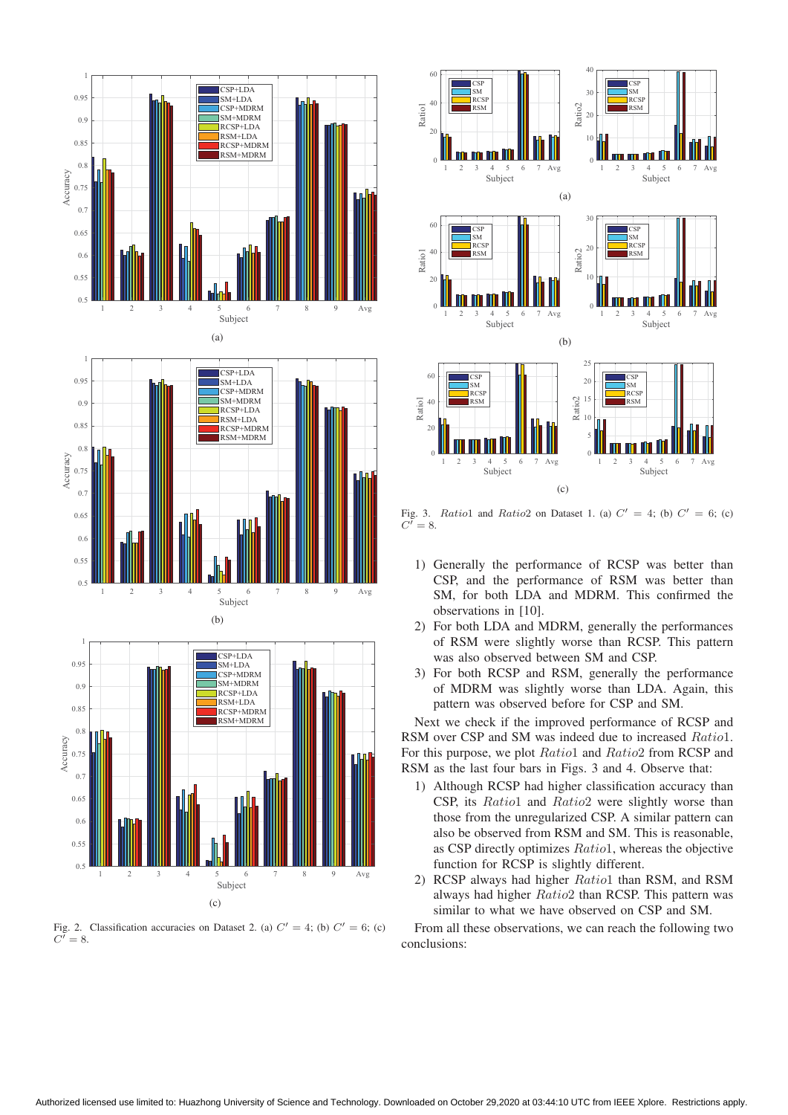

Fig. 2. Classification accuracies on Dataset 2. (a)  $C' = 4$ ; (b)  $C' = 6$ ; (c)  $C^{\prime} = 8.$ 



Fig. 3. Ratio1 and Ratio2 on Dataset 1. (a)  $C' = 4$ ; (b)  $C' = 6$ ; (c)  $C' = 8$ .

- 1) Generally the performance of RCSP was better than CSP, and the performance of RSM was better than SM, for both LDA and MDRM. This confirmed the observations in [10].
- 2) For both LDA and MDRM, generally the performances of RSM were slightly worse than RCSP. This pattern was also observed between SM and CSP.
- 3) For both RCSP and RSM, generally the performance of MDRM was slightly worse than LDA. Again, this pattern was observed before for CSP and SM.

Next we check if the improved performance of RCSP and RSM over CSP and SM was indeed due to increased Ratio1. For this purpose, we plot Ratio1 and Ratio2 from RCSP and RSM as the last four bars in Figs. 3 and 4. Observe that:

- 1) Although RCSP had higher classification accuracy than CSP, its Ratio1 and Ratio2 were slightly worse than those from the unregularized CSP. A similar pattern can also be observed from RSM and SM. This is reasonable, as CSP directly optimizes Ratio1, whereas the objective function for RCSP is slightly different.
- 2) RCSP always had higher Ratio1 than RSM, and RSM always had higher Ratio2 than RCSP. This pattern was similar to what we have observed on CSP and SM.

From all these observations, we can reach the following two conclusions: